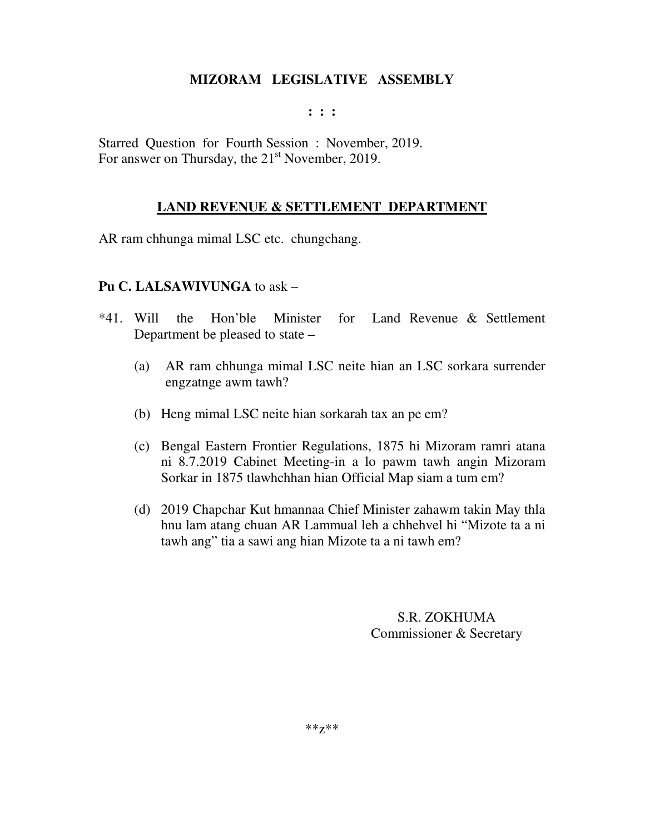#### **: : :**

Starred Question for Fourth Session : November, 2019. For answer on Thursday, the 21<sup>st</sup> November, 2019.

## **LAND REVENUE & SETTLEMENT DEPARTMENT**

AR ram chhunga mimal LSC etc. chungchang.

#### **Pu C. LALSAWIVUNGA** to ask –

- \*41. Will the Hon'ble Minister for Land Revenue & Settlement Department be pleased to state –
	- (a) AR ram chhunga mimal LSC neite hian an LSC sorkara surrender engzatnge awm tawh?
	- (b) Heng mimal LSC neite hian sorkarah tax an pe em?
	- (c) Bengal Eastern Frontier Regulations, 1875 hi Mizoram ramri atana ni 8.7.2019 Cabinet Meeting-in a lo pawm tawh angin Mizoram Sorkar in 1875 tlawhchhan hian Official Map siam a tum em?
	- (d) 2019 Chapchar Kut hmannaa Chief Minister zahawm takin May thla hnu lam atang chuan AR Lammual leh a chhehvel hi "Mizote ta a ni tawh ang" tia a sawi ang hian Mizote ta a ni tawh em?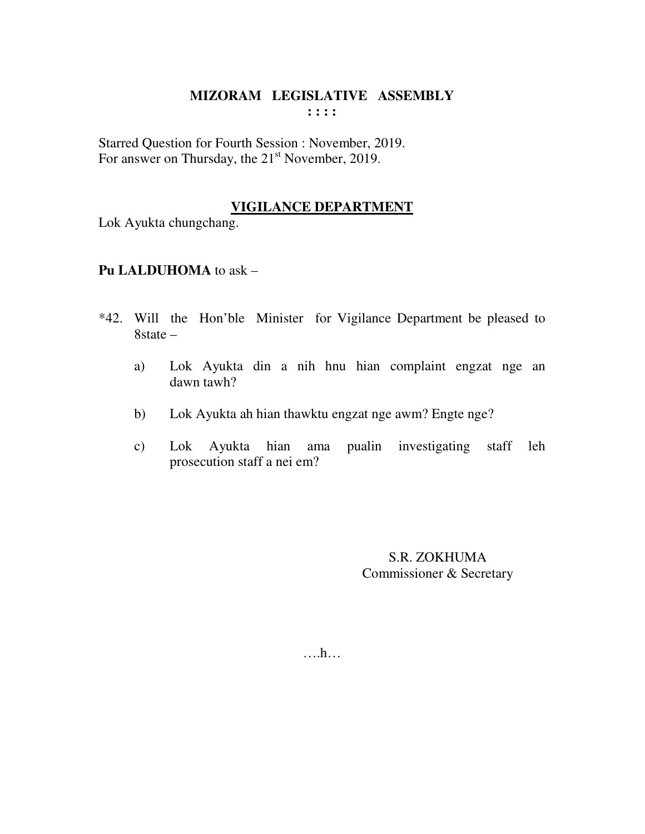Starred Question for Fourth Session : November, 2019. For answer on Thursday, the 21<sup>st</sup> November, 2019.

# **VIGILANCE DEPARTMENT**

Lok Ayukta chungchang.

## **Pu LALDUHOMA** to ask –

- \*42. Will the Hon'ble Minister for Vigilance Department be pleased to 8state –
	- a) Lok Ayukta din a nih hnu hian complaint engzat nge an dawn tawh?
	- b) Lok Ayukta ah hian thawktu engzat nge awm? Engte nge?
	- c) Lok Ayukta hian ama pualin investigating staff leh prosecution staff a nei em?

S.R. ZOKHUMA Commissioner & Secretary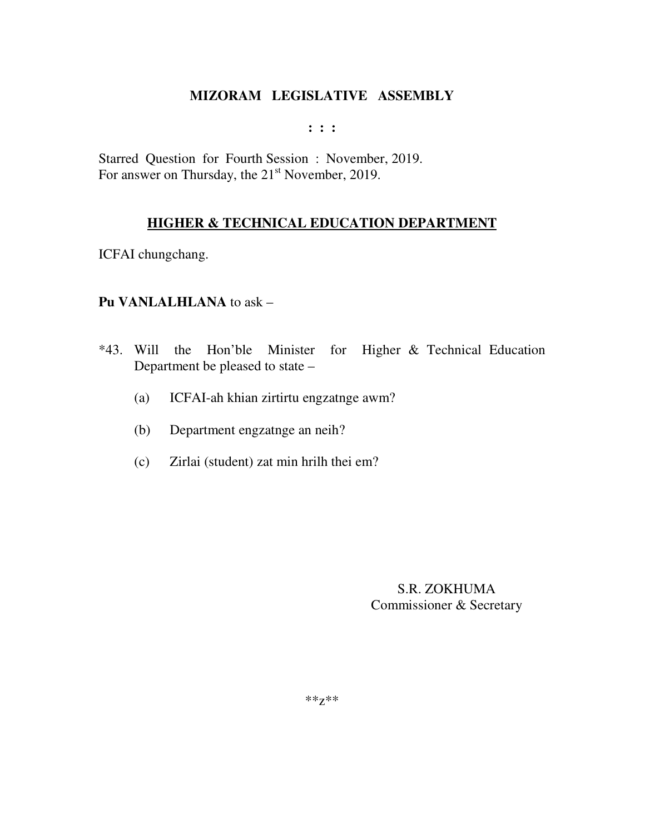$: : :$ 

Starred Question for Fourth Session: November, 2019. For answer on Thursday, the 21<sup>st</sup> November, 2019.

## **HIGHER & TECHNICAL EDUCATION DEPARTMENT**

ICFAI chungchang.

#### Pu VANLALHLANA to ask -

- \*43. Will the Hon'ble Minister for Higher & Technical Education Department be pleased to state –
	- ICFAI-ah khian zirtirtu engzatnge awm?  $(a)$
	- Department engzatnge an neih?  $(b)$
	- Zirlai (student) zat min hrilh thei em?  $(c)$

S.R. ZOKHUMA Commissioner & Secretary

 $***Z***$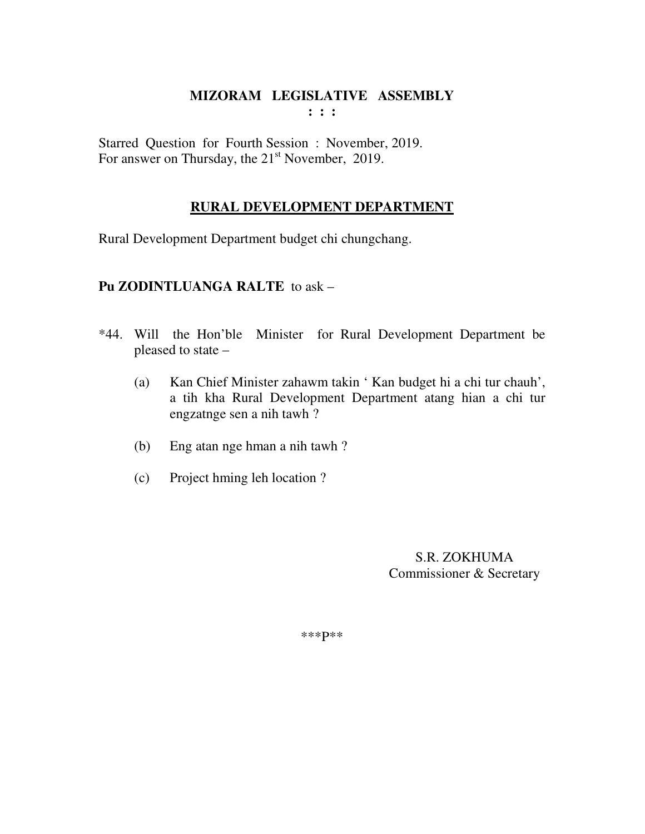Starred Question for Fourth Session : November, 2019. For answer on Thursday, the  $21<sup>st</sup>$  November, 2019.

# **RURAL DEVELOPMENT DEPARTMENT**

Rural Development Department budget chi chungchang.

## **Pu ZODINTLUANGA RALTE** to ask –

- \*44. Will the Hon'ble Minister for Rural Development Department be pleased to state –
	- (a) Kan Chief Minister zahawm takin ' Kan budget hi a chi tur chauh', a tih kha Rural Development Department atang hian a chi tur engzatnge sen a nih tawh ?
	- (b) Eng atan nge hman a nih tawh ?
	- (c) Project hming leh location ?

 S.R. ZOKHUMA Commissioner & Secretary

\*\*\*P\*\*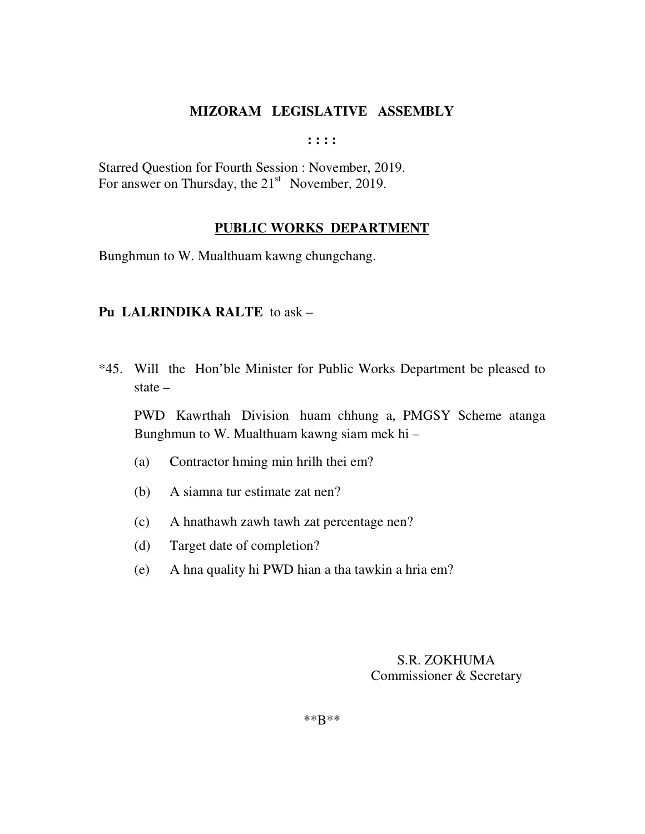**: : : :** 

Starred Question for Fourth Session : November, 2019. For answer on Thursday, the  $21<sup>st</sup>$  November, 2019.

#### **PUBLIC WORKS DEPARTMENT**

Bunghmun to W. Mualthuam kawng chungchang.

## **Pu LALRINDIKA RALTE** to ask –

\*45. Will the Hon'ble Minister for Public Works Department be pleased to state –

 PWD Kawrthah Division huam chhung a, PMGSY Scheme atanga Bunghmun to W. Mualthuam kawng siam mek hi –

- (a) Contractor hming min hrilh thei em?
- (b) A siamna tur estimate zat nen?
- (c) A hnathawh zawh tawh zat percentage nen?
- (d) Target date of completion?
- (e) A hna quality hi PWD hian a tha tawkin a hria em?

## S.R. ZOKHUMA Commissioner & Secretary

\*\*B\*\*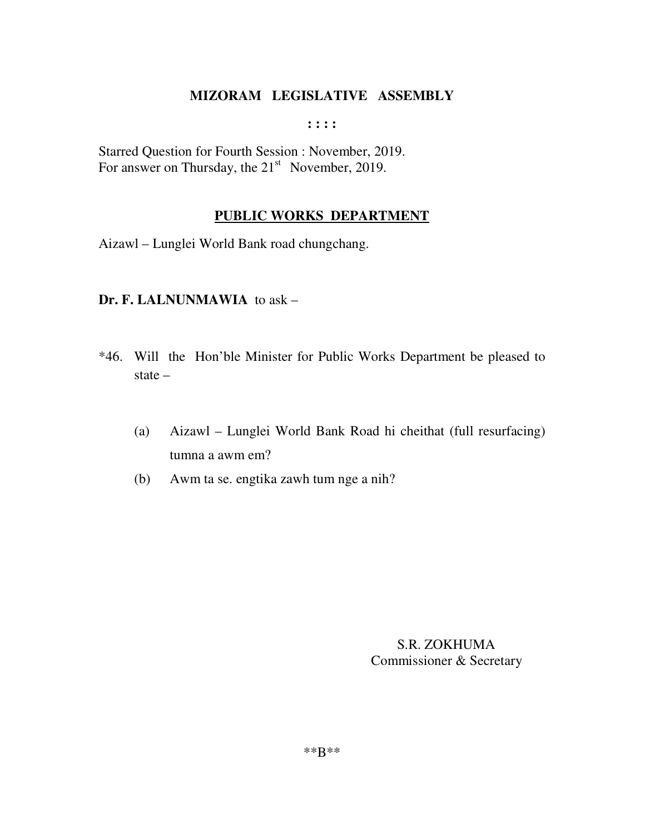**: : : :** 

Starred Question for Fourth Session : November, 2019. For answer on Thursday, the  $21<sup>st</sup>$  November, 2019.

# **PUBLIC WORKS DEPARTMENT**

Aizawl – Lunglei World Bank road chungchang.

## **Dr. F. LALNUNMAWIA** to ask –

- \*46. Will the Hon'ble Minister for Public Works Department be pleased to state –
	- (a) Aizawl Lunglei World Bank Road hi cheithat (full resurfacing) tumna a awm em?
	- (b) Awm ta se. engtika zawh tum nge a nih?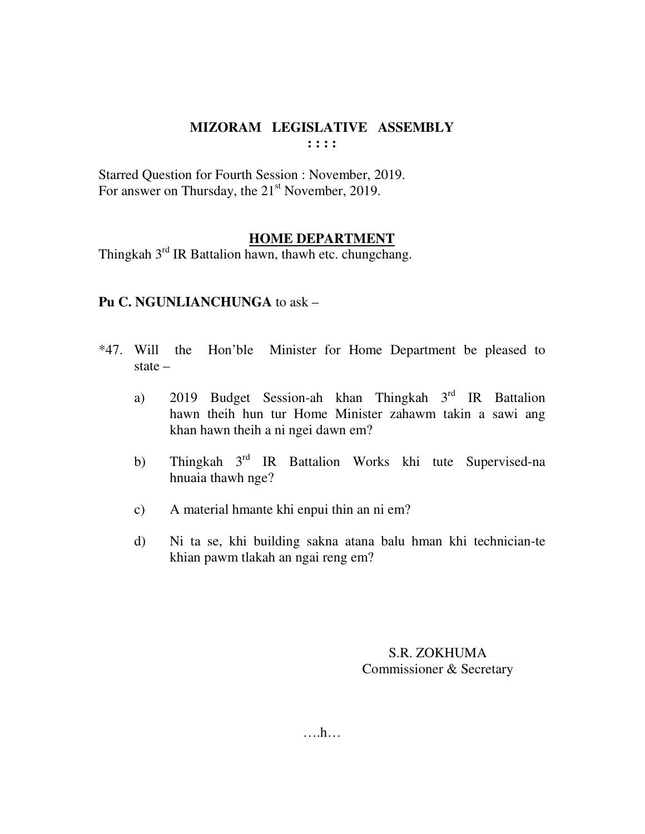Starred Question for Fourth Session : November, 2019. For answer on Thursday, the 21<sup>st</sup> November, 2019.

## **HOME DEPARTMENT**

Thingkah  $3<sup>rd</sup>$  IR Battalion hawn, thawh etc. chungchang.

## **Pu C. NGUNLIANCHUNGA** to ask –

- \*47. Will the Hon'ble Minister for Home Department be pleased to state –
	- a) 2019 Budget Session-ah khan Thingkah 3<sup>rd</sup> IR Battalion hawn theih hun tur Home Minister zahawm takin a sawi ang khan hawn theih a ni ngei dawn em?
	- b) Thingkah 3<sup>rd</sup> IR Battalion Works khi tute Supervised-na hnuaia thawh nge?
	- c) A material hmante khi enpui thin an ni em?
	- d) Ni ta se, khi building sakna atana balu hman khi technician-te khian pawm tlakah an ngai reng em?

S.R. ZOKHUMA Commissioner & Secretary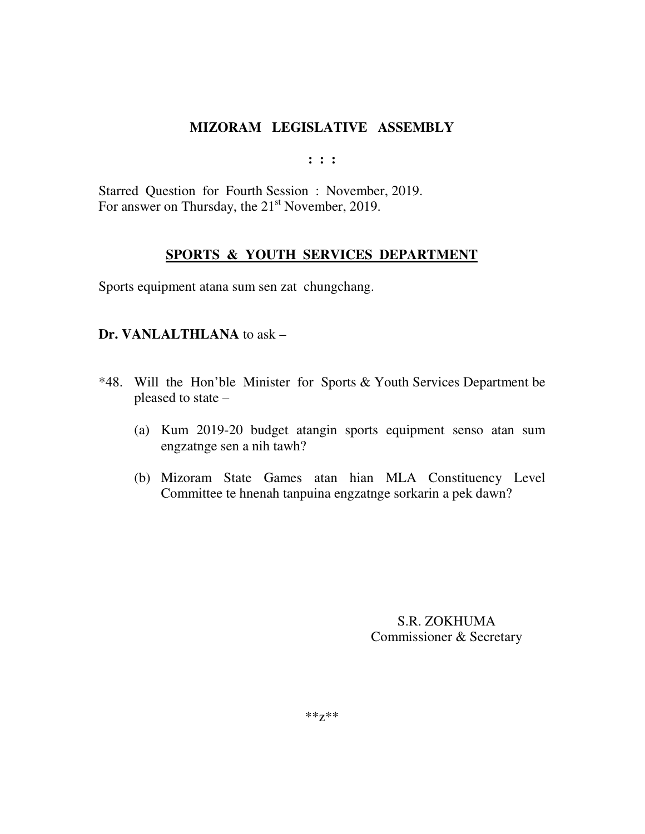**: : :** 

Starred Question for Fourth Session : November, 2019. For answer on Thursday, the  $21<sup>st</sup>$  November, 2019.

## **SPORTS & YOUTH SERVICES DEPARTMENT**

Sports equipment atana sum sen zat chungchang.

#### **Dr. VANLALTHLANA** to ask –

- \*48. Will the Hon'ble Minister for Sports & Youth Services Department be pleased to state –
	- (a) Kum 2019-20 budget atangin sports equipment senso atan sum engzatnge sen a nih tawh?
	- (b) Mizoram State Games atan hian MLA Constituency Level Committee te hnenah tanpuina engzatnge sorkarin a pek dawn?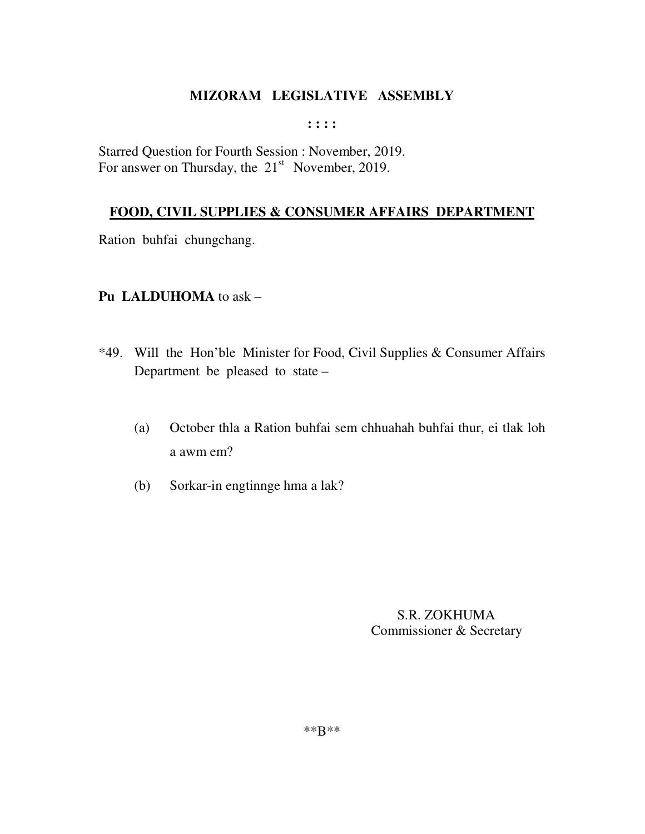#### $: : : :$

Starred Question for Fourth Session : November, 2019. For answer on Thursday, the  $21<sup>st</sup>$  November, 2019.

## FOOD, CIVIL SUPPLIES & CONSUMER AFFAIRS DEPARTMENT

Ration buhfai chungchang.

## Pu LALDUHOMA to ask -

- \*49. Will the Hon'ble Minister for Food, Civil Supplies & Consumer Affairs Department be pleased to state –
	- October thla a Ration buhfai sem chhuahah buhfai thur, ei tlak loh  $(a)$ a awm em?
	- Sorkar-in engtinnge hma a lak?  $(b)$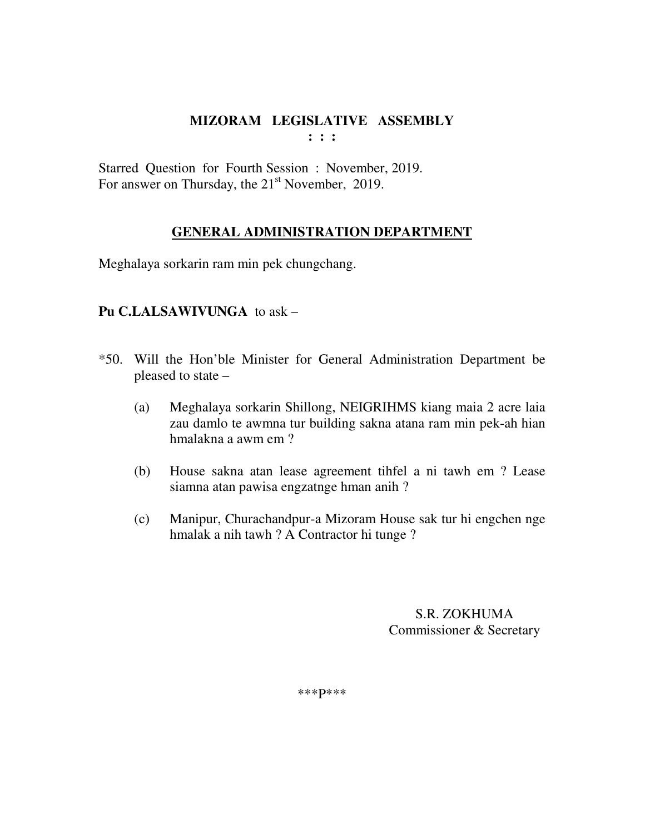Starred Question for Fourth Session : November, 2019. For answer on Thursday, the  $21<sup>st</sup>$  November, 2019.

## **GENERAL ADMINISTRATION DEPARTMENT**

Meghalaya sorkarin ram min pek chungchang.

## **Pu C.LALSAWIVUNGA** to ask –

- \*50. Will the Hon'ble Minister for General Administration Department be pleased to state –
	- (a) Meghalaya sorkarin Shillong, NEIGRIHMS kiang maia 2 acre laia zau damlo te awmna tur building sakna atana ram min pek-ah hian hmalakna a awm em ?
	- (b) House sakna atan lease agreement tihfel a ni tawh em ? Lease siamna atan pawisa engzatnge hman anih ?
	- (c) Manipur, Churachandpur-a Mizoram House sak tur hi engchen nge hmalak a nih tawh ? A Contractor hi tunge ?

 S.R. ZOKHUMA Commissioner & Secretary

\*\*\*P\*\*\*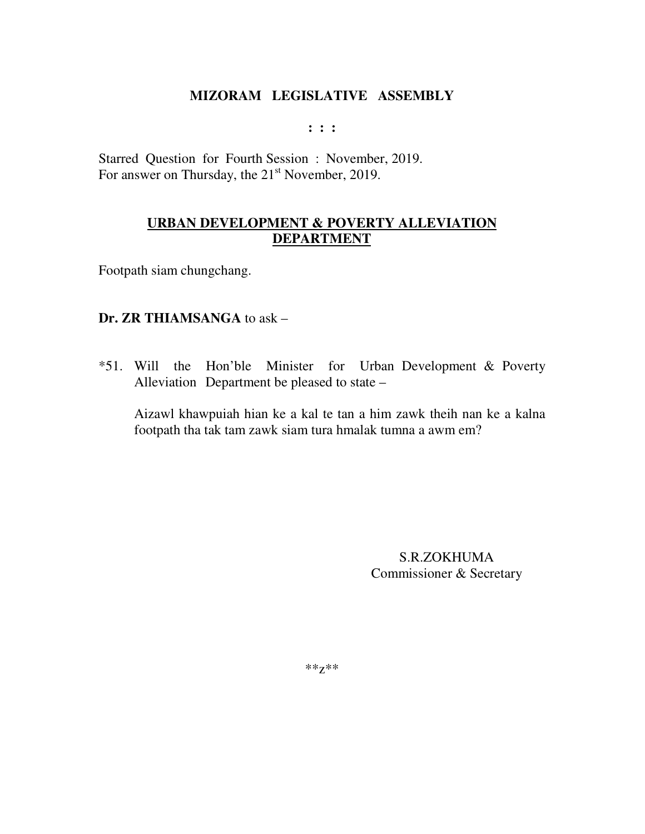**: : :** 

Starred Question for Fourth Session : November, 2019. For answer on Thursday, the  $21<sup>st</sup>$  November, 2019.

# **URBAN DEVELOPMENT & POVERTY ALLEVIATION DEPARTMENT**

Footpath siam chungchang.

## **Dr. ZR THIAMSANGA** to ask –

\*51. Will the Hon'ble Minister for Urban Development & Poverty Alleviation Department be pleased to state –

Aizawl khawpuiah hian ke a kal te tan a him zawk theih nan ke a kalna footpath tha tak tam zawk siam tura hmalak tumna a awm em?

> S.R.ZOKHUMA Commissioner & Secretary

\*\*z\*\*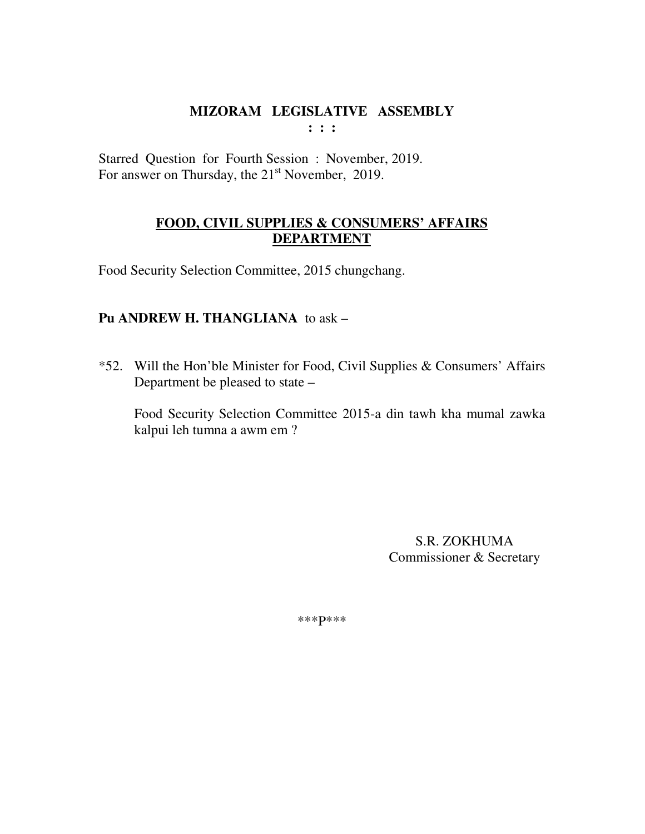$: : :$ 

Starred Question for Fourth Session: November, 2019. For answer on Thursday, the 21<sup>st</sup> November, 2019.

# FOOD, CIVIL SUPPLIES & CONSUMERS' AFFAIRS **DEPARTMENT**

Food Security Selection Committee, 2015 chungchang.

# Pu ANDREW H. THANGLIANA to ask -

\*52. Will the Hon'ble Minister for Food, Civil Supplies & Consumers' Affairs Department be pleased to state –

Food Security Selection Committee 2015-a din tawh kha mumal zawka kalpui leh tumna a awm em ?

> **S.R. ZOKHUMA** Commissioner & Secretary

\*\*\* p\*\*\*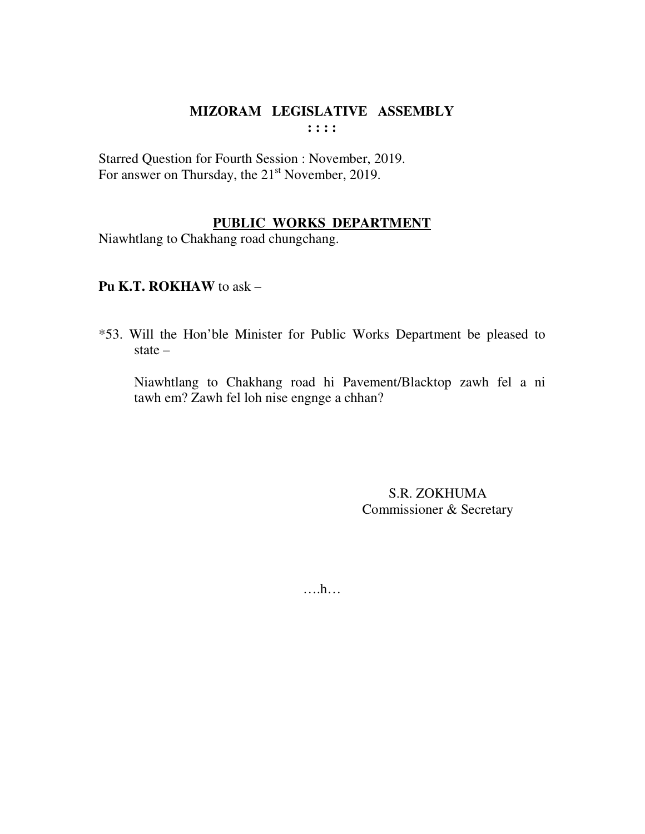Starred Question for Fourth Session : November, 2019. For answer on Thursday, the 21<sup>st</sup> November, 2019.

## **PUBLIC WORKS DEPARTMENT**

Niawhtlang to Chakhang road chungchang.

## **Pu K.T. ROKHAW** to ask –

\*53. Will the Hon'ble Minister for Public Works Department be pleased to state –

 Niawhtlang to Chakhang road hi Pavement/Blacktop zawh fel a ni tawh em? Zawh fel loh nise engnge a chhan?

> S.R. ZOKHUMA Commissioner & Secretary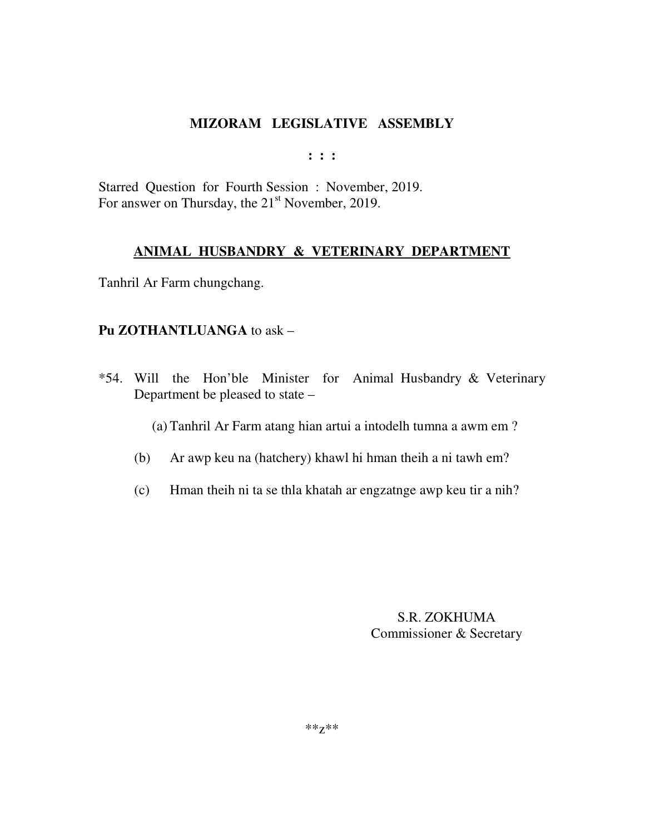**: : :** 

Starred Question for Fourth Session : November, 2019. For answer on Thursday, the  $21<sup>st</sup>$  November, 2019.

## **ANIMAL HUSBANDRY & VETERINARY DEPARTMENT**

Tanhril Ar Farm chungchang.

## **Pu ZOTHANTLUANGA** to ask –

\*54. Will the Hon'ble Minister for Animal Husbandry & Veterinary Department be pleased to state –

(a) Tanhril Ar Farm atang hian artui a intodelh tumna a awm em ?

- (b) Ar awp keu na (hatchery) khawl hi hman theih a ni tawh em?
- (c) Hman theih ni ta se thla khatah ar engzatnge awp keu tir a nih?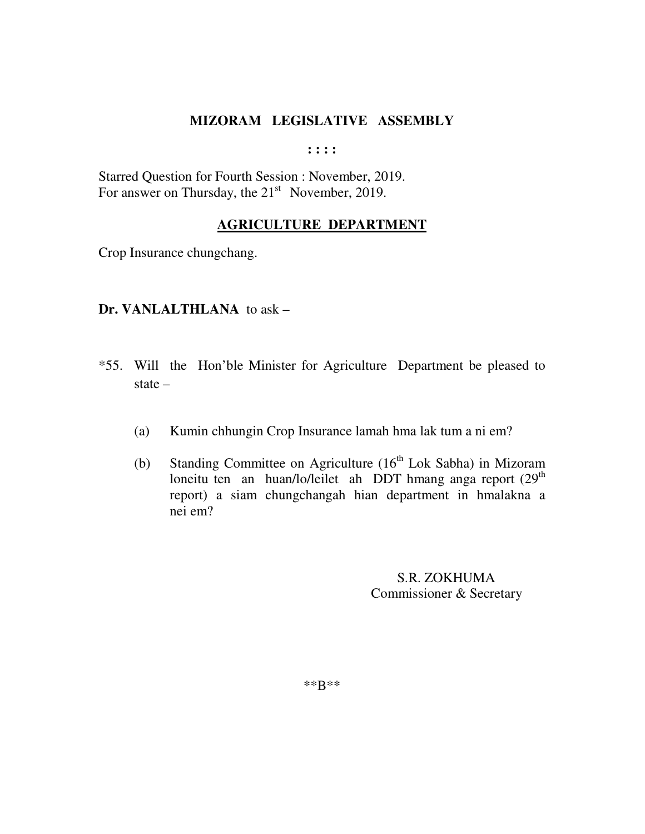**: : : :** 

Starred Question for Fourth Session : November, 2019. For answer on Thursday, the  $21<sup>st</sup>$  November, 2019.

#### **AGRICULTURE DEPARTMENT**

Crop Insurance chungchang.

#### **Dr. VANLALTHLANA** to ask –

- \*55. Will the Hon'ble Minister for Agriculture Department be pleased to state –
	- (a) Kumin chhungin Crop Insurance lamah hma lak tum a ni em?
	- (b) Standing Committee on Agriculture  $(16<sup>th</sup> Lok Sabha)$  in Mizoram loneitu ten an huan/lo/leilet ah DDT hmang anga report  $(29<sup>th</sup>)$  report) a siam chungchangah hian department in hmalakna a nei em?

 S.R. ZOKHUMA Commissioner & Secretary

\*\*B\*\*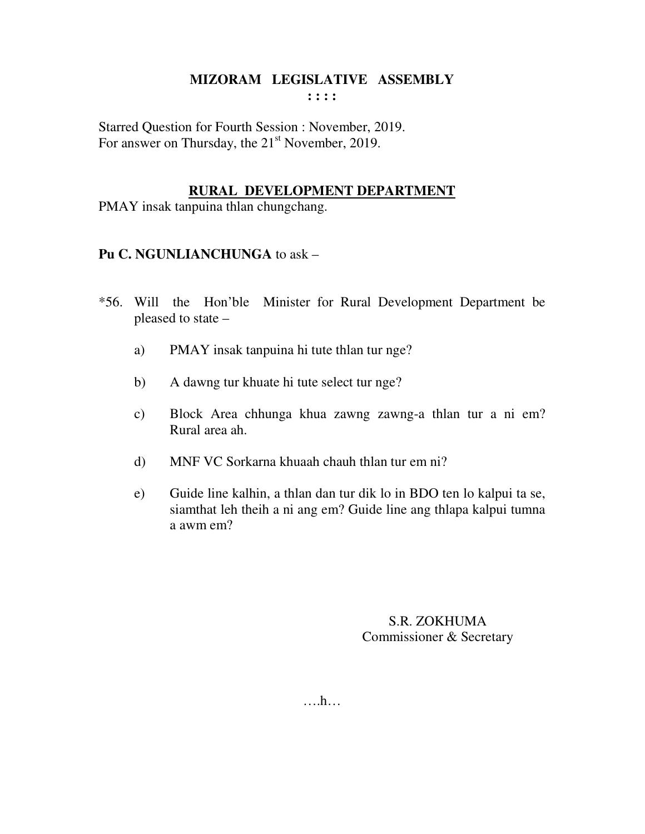Starred Question for Fourth Session : November, 2019. For answer on Thursday, the  $21<sup>st</sup>$  November, 2019.

#### **RURAL DEVELOPMENT DEPARTMENT**

PMAY insak tanpuina thlan chungchang.

## **Pu C. NGUNLIANCHUNGA** to ask –

- \*56. Will the Hon'ble Minister for Rural Development Department be pleased to state –
	- a) PMAY insak tanpuina hi tute thlan tur nge?
	- b) A dawng tur khuate hi tute select tur nge?
	- c) Block Area chhunga khua zawng zawng-a thlan tur a ni em? Rural area ah.
	- d) MNF VC Sorkarna khuaah chauh thlan tur em ni?
	- e) Guide line kalhin, a thlan dan tur dik lo in BDO ten lo kalpui ta se, siamthat leh theih a ni ang em? Guide line ang thlapa kalpui tumna a awm em?

# S.R. ZOKHUMA Commissioner & Secretary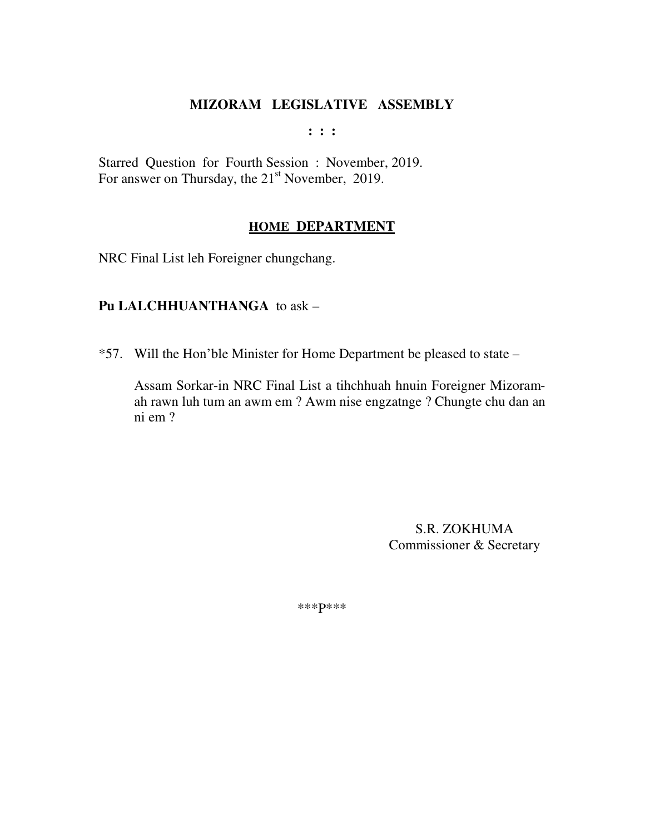**: : :** 

Starred Question for Fourth Session : November, 2019. For answer on Thursday, the 21<sup>st</sup> November, 2019.

#### **HOME DEPARTMENT**

NRC Final List leh Foreigner chungchang.

## **Pu LALCHHUANTHANGA** to ask –

\*57. Will the Hon'ble Minister for Home Department be pleased to state –

 Assam Sorkar-in NRC Final List a tihchhuah hnuin Foreigner Mizoram ah rawn luh tum an awm em ? Awm nise engzatnge ? Chungte chu dan an ni em ?

> S.R. ZOKHUMA Commissioner & Secretary

\*\*\*P\*\*\*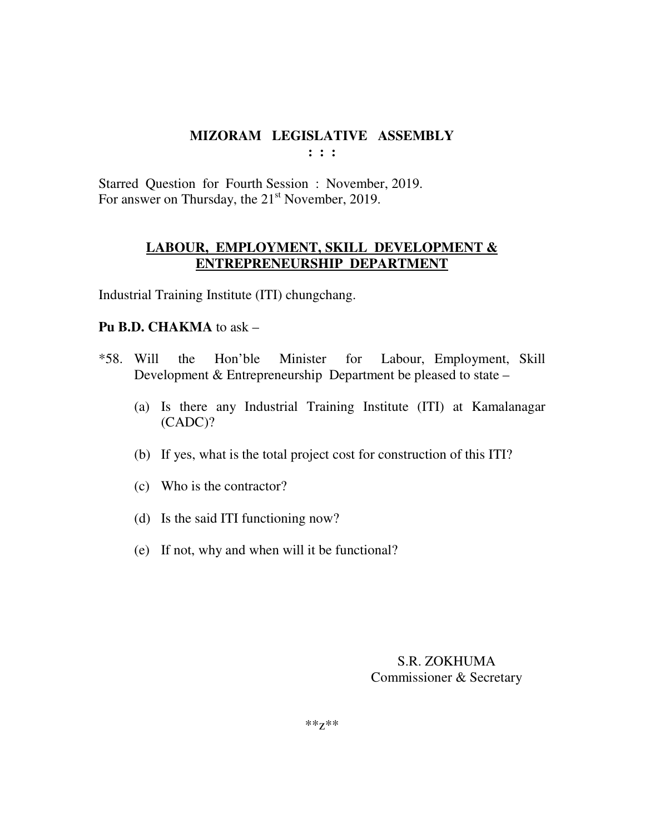Starred Question for Fourth Session : November, 2019. For answer on Thursday, the  $21<sup>st</sup>$  November, 2019.

# **LABOUR, EMPLOYMENT, SKILL DEVELOPMENT & ENTREPRENEURSHIP DEPARTMENT**

Industrial Training Institute (ITI) chungchang.

## **Pu B.D. CHAKMA** to ask –

- \*58. Will the Hon'ble Minister for Labour, Employment, Skill Development & Entrepreneurship Department be pleased to state –
	- (a) Is there any Industrial Training Institute (ITI) at Kamalanagar (CADC)?
	- (b) If yes, what is the total project cost for construction of this ITI?
	- (c) Who is the contractor?
	- (d) Is the said ITI functioning now?
	- (e) If not, why and when will it be functional?

S.R. ZOKHUMA Commissioner & Secretary

\*\*z\*\*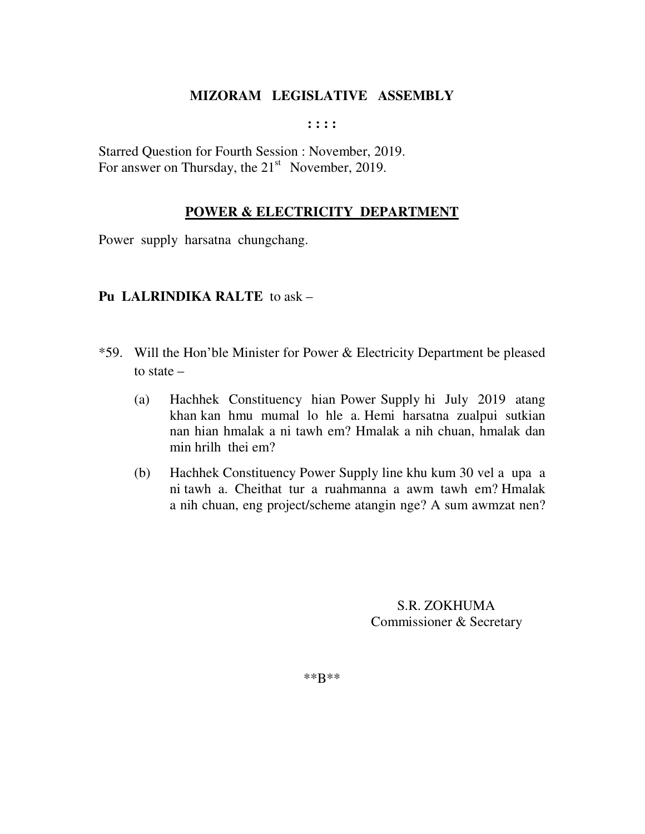**: : : :** 

Starred Question for Fourth Session : November, 2019. For answer on Thursday, the  $21<sup>st</sup>$  November, 2019.

## **POWER & ELECTRICITY DEPARTMENT**

Power supply harsatna chungchang.

# **Pu LALRINDIKA RALTE** to ask –

- \*59. Will the Hon'ble Minister for Power & Electricity Department be pleased to state –
	- (a) Hachhek Constituency hian Power Supply hi July 2019 atang khan kan hmu mumal lo hle a. Hemi harsatna zualpui sutkian nan hian hmalak a ni tawh em? Hmalak a nih chuan, hmalak dan min hrilh thei em?
	- (b) Hachhek Constituency Power Supply line khu kum 30 vel a upa a ni tawh a. Cheithat tur a ruahmanna a awm tawh em? Hmalak a nih chuan, eng project/scheme atangin nge? A sum awmzat nen?

 S.R. ZOKHUMA Commissioner & Secretary

\*\*B\*\*